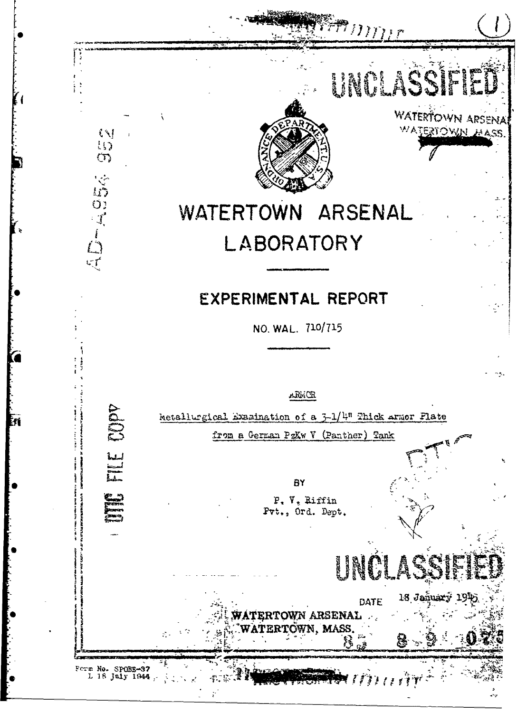

 $\left\{ \begin{array}{c} \times \\ \times \end{array} \right\}$  $\overline{\mathfrak{t}}$  $\sigma$ 

AD-ASE

 $m_{\ell\ell}$ 

**WATERTOWN ARSENA** WATERTOWN MASS

## WATERTOWN ARSENAL LABORATORY

# EXPERIMENTAL REPORT

NO. WAL. 710/715

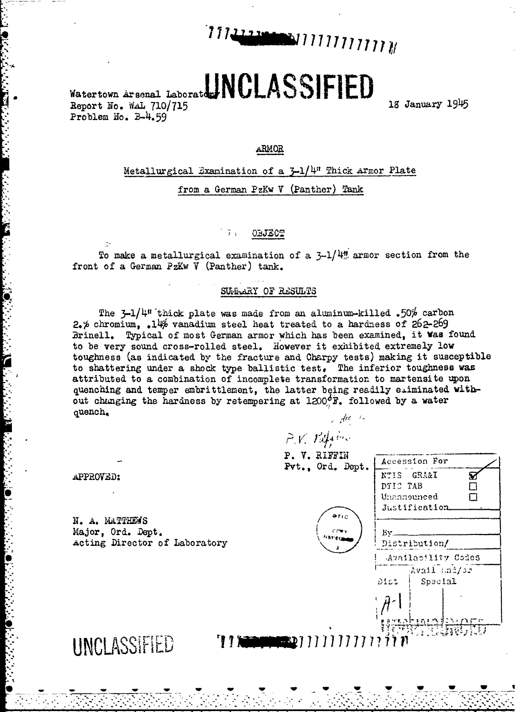

# Watertown Arsonal Laborator/NCLASSIFIED

Report No. WAL 710/715 Problem No. B-4.59

18 January 1945

#### ARMOR

Metallurgical Examination of a 3-1/4" Thick Armor Plate from a German PzKw V (Panther) Tank

#### $\vec{J}$ . **OBJECT**

To make a metallurgical examination of a  $3-1/4$  armor section from the front of a German PzKw V (Panther) tank.

#### SUMMARY OF RESULTS

The  $3-1/4$ <sup>1</sup> thick plate was made from an aluminum-killed .50% carbon  $2.6$  chromium. 14% vanadium steel heat treated to a hardness of  $262-269$ Brinell. Typical of most German armor which has been examined, it was found to be very sound cross-rolled steel. However it exhibited extremely low toughness (as indicated by the fracture and Charpy tests) making it susceptible to shattering under a shock type ballistic test. The inferior toughness was attributed to a combination of incomplete transformation to martensite upon quenching and temper embrittlement, the latter being readily eliminated without changing the hardness by retempering at 1200<sup>d</sup>F. followed by a water quench.  $\mathcal{A}$ ic  $\mathcal{A}$ 

P.V. Papier P. V. RIFFIN Accession For Pvt., Ord. Dept. NTIS GRA&I Ø DTIC TAB  $\Box$ Unannounced  $\Box$ Justification  $2710$ N. A. MATTHEWS Major. Ord. Dept. Bv. Acting Director of Laboratory Distribution/ Availability Codes  $A$ vail $A$ ana $A$ Diat Special UNCLASSIFIED '11 San Maria 1999 1999 1999 1999 19

APPROVED: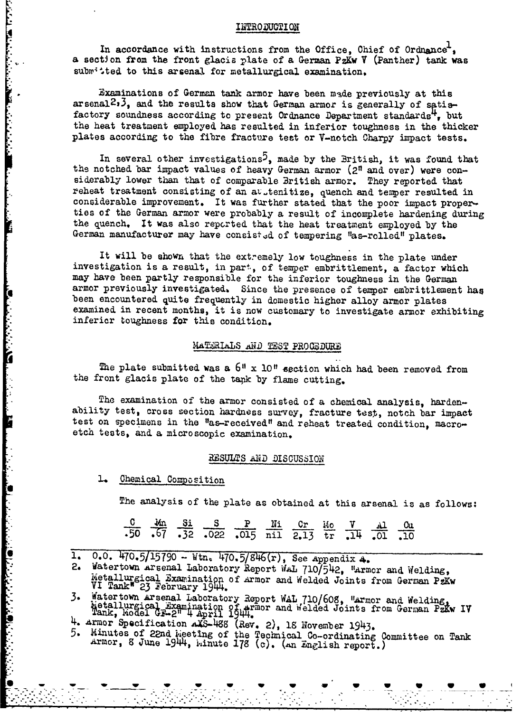#### INTRODUGTI ON

In accordance with instructions from the Office, Chief of Ordnance, a section from the front glacis plate of a German PzKw V (Panther) tank was submitted to this arsenal for metallurgical examination.

Examinations of German tank armor have been made previously at this arsenal<sup>2</sup>,<sup>3</sup>, and the results show that German armor is generally of satisfactory soundness according to present Ordnance Department standards<sup>4</sup>, but the heat treatment employed, has resulted in inferior toughness in the thicker plates according to the fibre fracture test or V-notch Charpy impact tests.

In several other investigations<sup>5</sup>, made by the British, it was found that the notched bar impact values of heavy German armor (2<sup>n</sup> and over) were considerably lower than that of comparable British armor. They reported that reheat treatment consisting of an avitenitize, quench and temper resulted in considerable improvement. It was further stated that the poor impact properties of the German armor were probably a result of incomplete hardening during the quench. It was also reported that the heat treatment employed by the German manufacturer may have consist-d of tempering "as-rolled" plates.

It will be shown that the extremely low toughness in the plate under investigation is a result, in part, of temper embrittlement, a factor which may have been partly responsible for the inferior toughness in the German armor previously investigated. Since the presence of temper embrittlement has been encountered quite frequently in domestic higher alloy armor plates<br>examined in recent months, it is now customary to investigate armor exhibiting<br>inferior toughness for this condition.

#### MATERIALS AND TEST PROCEDURE

The plate submitted was a  $6''$  x 10<sup>"</sup> section which had been removed from the front glacis plate of the tapk by flame cutting.

The examination of the armor consisted of a chemical analysis, harden-<br>ability test, cross section hardness survey, fracture test, notch bar impact<br>test on specimens in the "as-received" and reheat treated condition, macro etch tests, and a microscopic examination.

#### RESULTS AND DISCUSSION

**1.** Chemical Composition

**Communication of the Communication** 

The analysis of the plate as obtained at this arsenal is as follows:

|  | $\frac{0}{0.50}$ $\frac{3n}{0.57}$ $\frac{5i}{0.32}$ $\frac{S}{0.022}$ $\frac{P}{0.015}$ $\frac{Ni}{nil}$ $\frac{Cr}{2.13}$ $\frac{10}{tr}$ $\frac{V}{0.14}$ $\frac{Al}{0.01}$ $\frac{Gu}{0.10}$ |  |  |  |  |
|--|--------------------------------------------------------------------------------------------------------------------------------------------------------------------------------------------------|--|--|--|--|
|  |                                                                                                                                                                                                  |  |  |  |  |

**1.** 0.0. *W70.5/15[90* - Wtn. 470.5/S11(r), See appendix 4.

2. Watertown Arsenal Laboratory Report WAL 710/542, "Armor and Welding, Metallurgical Examination of Armor and Welded Joints from German PzKw VI Tank" 23 February 1944.

3. Watertown Arsenal Laboratory Report WAL 710/608, Warmor and Welding, Wetallurgical Examination of armor and Welded Joints from German PzKw IV<br>Tank, Wodel GF-2" 4 April 1944.<br>4. Armor Specification AXS-488 (Rev. 2), 18 N

,,-.- .-. **w** .-. , . -.- -.. - . . .. - ... .... .

 $5.$  Minutes of 22nd is eting of the Technical Co-ordinating Committee on Tank Armor, 8 June 1944, hinute 178 (c). (an English report.)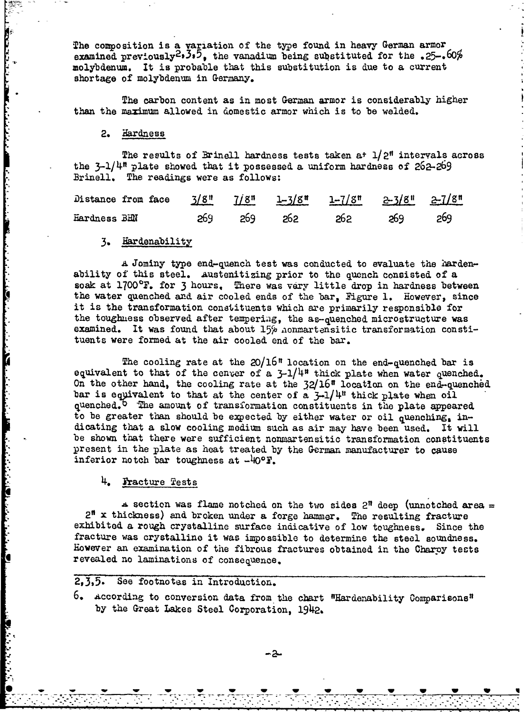The composition is a variation of the type found in heavy German armor examined previously<sup>2</sup>, 3,5, the vanadium being substituted for the .25-.60% molybdenum. It is probable that this substitution is due to a current shortage of molybdenum in Germany.

The carbon content as in most German armor is considerably higher than the maximum allowed in domestic armor which is to be welded.

#### 2. Hardness

The results of Brinell hardness tests taken at  $1/2$ <sup>n</sup> intervals across the  $3-1/4$ <sup>n</sup> plate showed that it possessed a uniform hardness of  $262-269$ Brinell. The readings were as follows:

|              |  |  | Distance from face $\frac{3}{8}$ " $\frac{7}{8}$ " $\frac{1-3}{8}$ " $\frac{1-7}{8}$ " $\frac{2-3}{8}$ " $\frac{2-7}{8}$ " |  |
|--------------|--|--|----------------------------------------------------------------------------------------------------------------------------|--|
| Hardness BHN |  |  | 269 269 262 262 269 269                                                                                                    |  |

#### **3.** Hardenability

A Jominy type end-quench test was conducted to evaluate the hardenability of this steel. Austenitizing prior to the quench consisted of a soak at 1700°F. for 3 hours. There was very little drop in hardness between the water quenched and air cooled ends of the bar, Figure 1. However, since it is the transformation constituents which are primarily responsible for the toughness observed after tempering, the as-quenched microstructure was examined. It was found that about 15% honmartensitic transformation constituents were formed at the air cooled end of the bar.

The cooling rate at the  $20/16$ <sup>n</sup> location on the end-quenched bar is equivalent to that of the cenver of a  $3-1/4$ <sup>#</sup> thick plate when water quenched. On the other hand, the cooling rate at the  $32/16$ <sup>n</sup> location on the end-quenched bar is equivalent to that at the center of a  $3-1/4$ <sup>n</sup> thick plate when oil quenched.<sup>1</sup> The amount of transformation constituents in the plate appeared to be greater than should be expected by either water or oil quenching, indicating that a slow cooling medium such as air may have been used. It will be shown that there were sufficient nonmartensitic transformation constituents present in the plate as heat treated by the German manufacturer to cause inferior notch bar toughness at  $-40^{\circ}$  F.

4. fracture Tests

والمراقب والمستنب والمستور والمنافر والمنافر والمنافر والمنافر والمنافر والمنافر والمنافر والمنافر والمنافر والمنافر والمنافر والمنافر والمنافر والمنافر والمنافر والمنافر والمنافر والمنافر والمنافر والمنافر والمنافر والمنا

 $\blacktriangle$  section was flame notched on the two sides 2" deep (unnotched area = 2" x thickness) and broken under a forge hammer. The resulting fracture exhibited a rough crystalline surface indicative of low toughness. Since the fracture was crystalline it was impossible to determine the steel soundness. However an examination of the fibrous fractures obtained in the Charpy tests revealed no laminations of consequence.

#### 2,3,5. See footnotes in Introduction.

**6.** According to conversion data from the chart "Hardenability Comparisons" by the Great Lakes Steel Corporation, 1942.

**0\*~** - **\_ W V**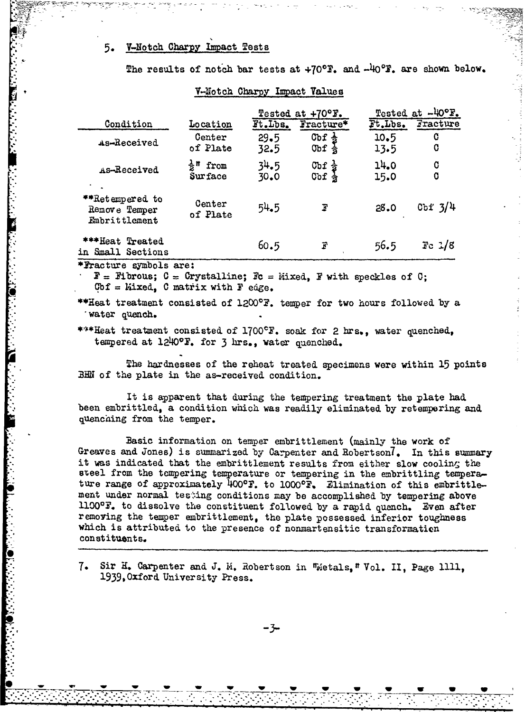#### **5-** V-Notch Charpy Impact Tests

|                                                   |                                            |              | Tested at +70°F.                          | Tested at -40°F. |                     |  |
|---------------------------------------------------|--------------------------------------------|--------------|-------------------------------------------|------------------|---------------------|--|
| Condition                                         | Location                                   | Ft.Lbs.      | $\texttt{Fracture*}$                      | Ft.Lbs.          | $\mathtt{Fracture}$ |  |
| As-Received                                       | Center<br>of Plate                         | 29.5<br>32.5 | Cbf $\frac{1}{2}$<br>Obf<br>$\frac{1}{2}$ | 10.5<br>13.5     | C<br>C              |  |
| As-Received                                       | $\frac{1}{2}$ <sup>n</sup> from<br>Surface | 34.5<br>30.0 | $\frac{C_{\rm bf}}{C_{\rm bf}}$           | 14.0<br>15.0     | C<br>C              |  |
| **Retempered to<br>Remove Temper<br>Embrittlement | Center<br>of Plate                         | 54.5         | Г                                         | 28.0             | Cbf $3/4$           |  |
| ***Heat Treated<br>in Small Sections              |                                            | 60.5         | F                                         | 56.5             | $\text{Fe}$ $1/8$   |  |

V-Notch Charpy Impact Values

The results of notch bar tests at +70°F, and -40°F, are shown below.

\*Fracture symbols are:

 $F =$  Fibrous;  $C =$  Crystalline;  $Fc =$  Mixed, F with speckles of  $C$ ; **Gbf = Yixed., 0** matrix with F edge.

\*\*Heat treatment consisted of  $1200^{\circ}$ F. temper for two hours followed by a water quench.

\*\*\*Heat treatment consisted of 1700°F. soak for 2 hrs., water quenched, tempered at 1240°F. for 3 hrs., water quenched.

The hardnesses of the reheat treated specimens were within 15 points **ZEN** of the plate in the as-received condition.

It is apparent that during the tempering treatment the plate had been embrittled, a condition which was readily eliminated by retempering and quenching from the temper.

Basic information on temper embrittlement (mainly the work of Greaves and Jones) is summarized by Carpenter and Robertson<sup>7</sup>. In this summary it was indicated that the embrittlement results from either slow cooling the steel from the tempering temperature or tempering in the embrittling temperature range of approximately 400°F. to 1000°F. Elimination of this embrittlement under normal testing conditions may be accomplished by tempering above **11000P.** to dissolve the constituent followed by a rapid quench. Even after removing the temper embrittlement, the plate possessed inferior toughness which is attributed to the presence of nonmartensitic transformation const ituents.

7. Sir H. Carpenter and J. M. Robertson in Wietals, " Vol. II, Page 1111, 1939,Oxford University Press.

*-3-*

 $: \mathbb{Z} \longrightarrow \mathbb{Z} \longrightarrow \mathbb{Z} \longrightarrow \mathbb{Z} \longrightarrow \mathbb{Z} \longrightarrow \mathbb{Z} \longrightarrow \mathbb{Z} \longrightarrow \mathbb{Z} \longrightarrow \mathbb{Z} \longrightarrow \mathbb{Z} \longrightarrow \mathbb{Z} \longrightarrow \mathbb{Z} \longrightarrow \mathbb{Z} \longrightarrow \mathbb{Z} \longrightarrow \mathbb{Z} \longrightarrow \mathbb{Z} \longrightarrow \mathbb{Z} \longrightarrow \mathbb{Z} \longrightarrow \mathbb{Z} \longrightarrow \mathbb{Z} \longrightarrow \mathbb{Z} \longrightarrow \mathbb{Z} \longrightarrow \mathbb{Z} \longrightarrow \mathbb{Z} \longrightarrow \mathbb{Z} \longrightarrow \mathbb{Z} \longrightarrow \mathbb{Z} \longrightarrow \mathbb$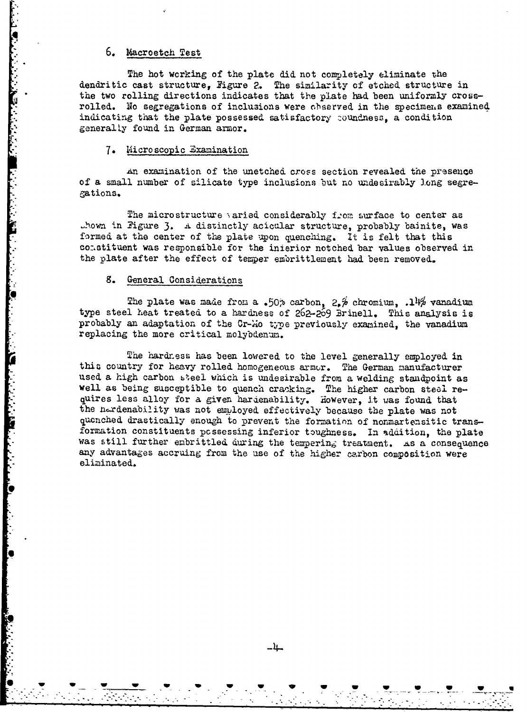### 6. Macroetch Test

The hot working of the plate did not completely eliminate the dendritic cast structure. Figure 2. The similarity of etched structure in the two rolling directions indicates that the plate had been uniformly crossrolled. No segregations of inclusions were chaerved in the specimens examined indicating that the plate possessed satisfactory coundness, a condition generally found in German armor.

#### 7. Microscopic Examination

An examination of the unetched cross section revealed the presence of a small number of silicate type inclusions but no undesirably long segregations.

The microstructure varied considerably from surface to center as thown in Figure 3. A distinctly acicular structure, probably bainite, was formed at the center of the plate upon quenching. It is felt that this constituent was responsible for the interior notched bar values observed in the plate after the effect of temper embrittlement had been removed.

#### 8. General Considerations

**Communication** 

The plate was made from a .50% carbon,  $2.6$  chromium, .14% vanadium type steel heat treated to a hardness of 262-269 Brinell. This analysis is probably an adaptation of the Cr-Mo type previously examined, the vanadium replacing the more critical molybdenum.

The hardness has been lowered to the level generally employed in this country for heavy rolled homogeneous armor. The German manufacturer used a high carbon steel which is undesirable from a welding standpoint as well as being susceptible to quench cracking. The higher carbon steel re-<br>quires less alloy for a given hardenability. However, it was found that the nerdenability was not employed effectively because the plate was not quenched drastically enough to prevent the formation of nonmartensitic transformation constituents possessing inferior toughness. In addition, the plate was still further embrittled during the tempering treatment. As a consequence any advantages accruing from the use of the higher carbon composition were eliminated.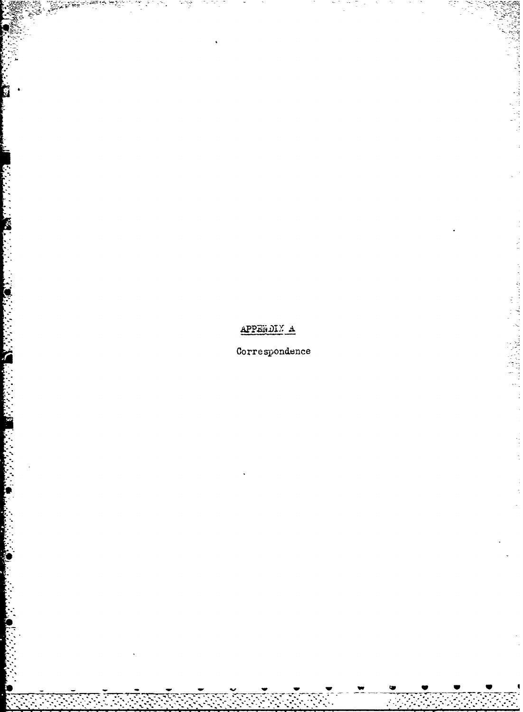APPENDIX A

Correspondence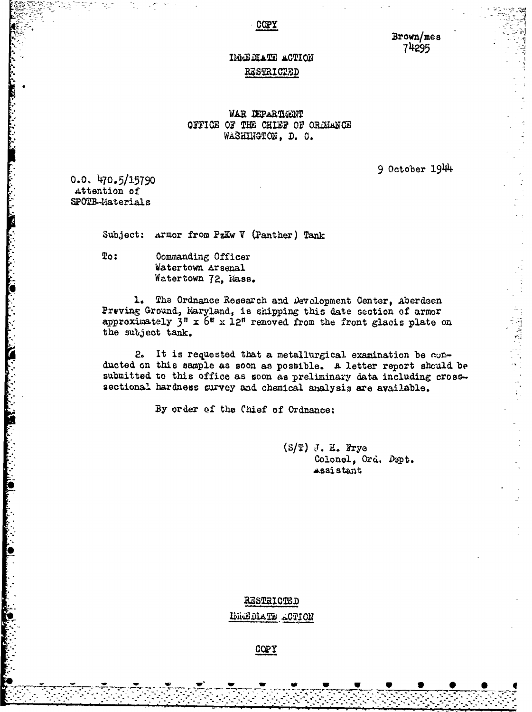COPY

Brown/mes 74295

## IMMEDIATE ACTION RESTRICTED

#### WAR DEPARTMENT OFFICE OF THE CHIEF OF ORDHANCE WASHINGTON, D. C.

 $9$  October  $1944$ 

 $0.0.470.5/15790$ Attention of SPOTB-Materials

Subject: ATHor from PzKw V (Panther) Tank

Commanding Officer  $T<sub>o</sub>$ : Watertown Arsenal Watertown 72, Mass.

1. The Ordnance Research and Development Center, Aberdsen Preving Ground, Waryland, is shipping this date section of armor approximately  $3^n \times 6^n \times 12^n$  removed from the front glacis plate on the subject tank.

2. It is requested that a metallurgical examination be conducted on this sample as soon as possible. A letter report should be submitted to this office as soon as preliminary data including crosssectional hardness survey and chemical analysis are available.

By order of the Chief of Ordnance:

 $(S/T)$  J. H. Frye Colonel, Ord. Dept. Assistant

RESTRICTED IMMEDIATE ACTION

COPY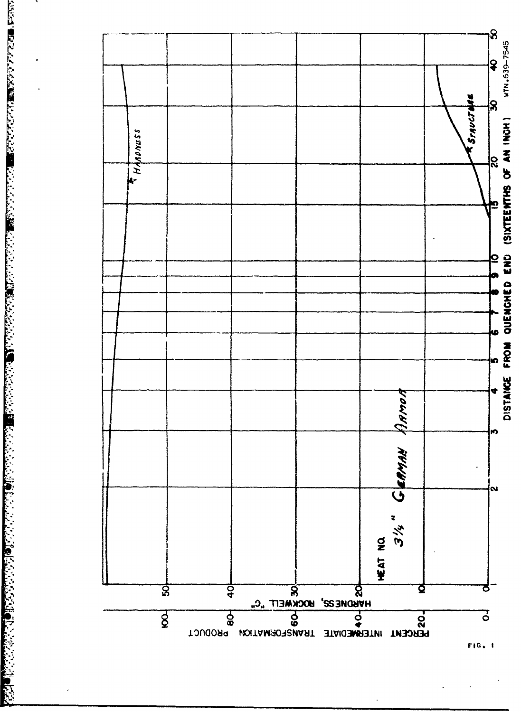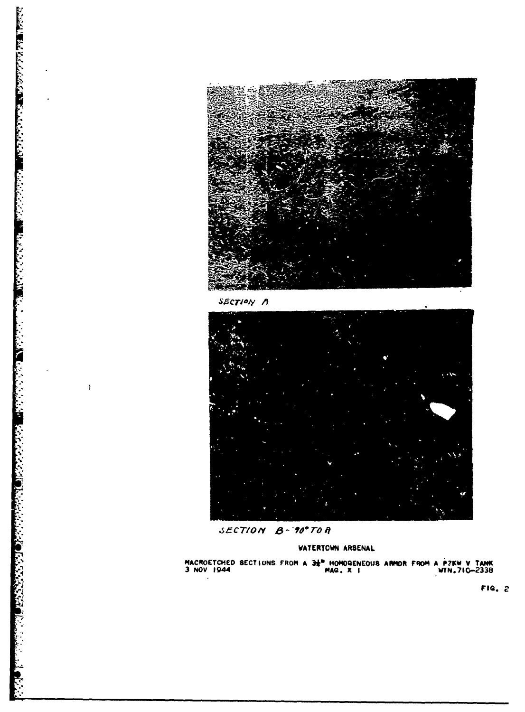

SECTION A

**RECONNECT AND RELEASED FOR A REPORT OF A STATEMENT OF A REPORT OF A STATEMENT OF A REPORT OF A STATEMENT OF A** 

 $\Delta$ 

 $\lambda$ 



SECTION B-90°TOR

#### **VATERTOWN ARSENAL**

MACROETCHED SECTIONS FROM A  $3\frac{1}{6}$ <sup>N</sup> HOMOGENEOUS ARMOR FROM A PZKW V TANK 3 NOV 1944

FIG. 2